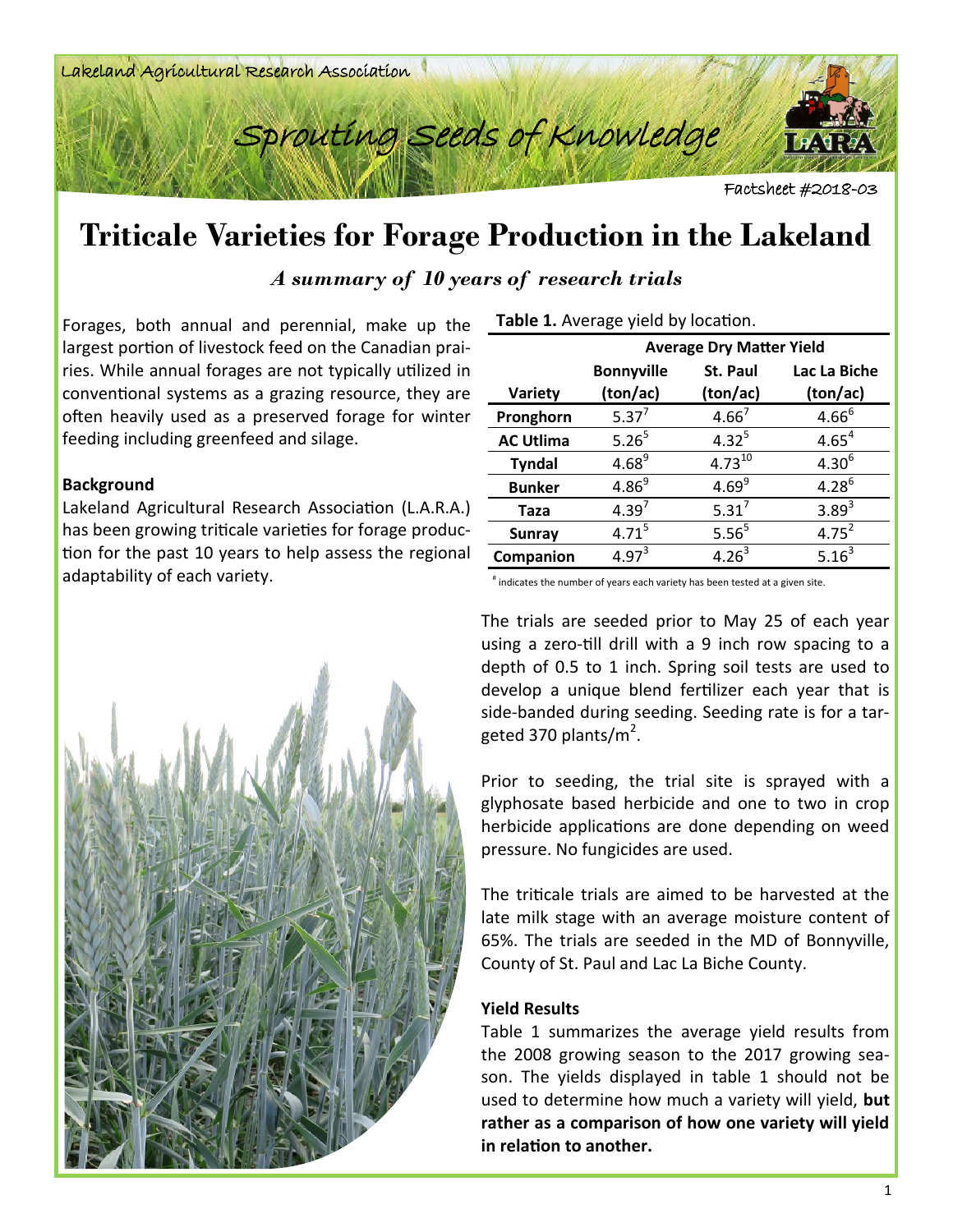



Factsheet #2018-03

## **Triticale Varieties for Forage Production in the Lakeland**

*A summary of 10 years of research trials*

Forages, both annual and perennial, make up the largest portion of livestock feed on the Canadian prairies. While annual forages are not typically utilized in conventional systems as a grazing resource, they are often heavily used as a preserved forage for winter feeding including greenfeed and silage.

## **Background**

Lakeland Agricultural Research Association (L.A.R.A.) has been growing triticale varieties for forage production for the past 10 years to help assess the regional adaptability of each variety.



| Table 1. Average yield by location. |  |
|-------------------------------------|--|
|-------------------------------------|--|

|                  | <b>Average Dry Matter Yield</b> |                   |              |  |  |  |
|------------------|---------------------------------|-------------------|--------------|--|--|--|
|                  | <b>Bonnyville</b>               | St. Paul          | Lac La Biche |  |  |  |
| Variety          | (ton/ac)                        | (ton/ac)          | (ton/ac)     |  |  |  |
| Pronghorn        | $5.37^{7}$                      | $4.66^{7}$        | $4.66^{6}$   |  |  |  |
| <b>AC Utlima</b> | 5.26 <sup>5</sup>               | $4.32^{5}$        | $4.65^{4}$   |  |  |  |
| <b>Tyndal</b>    | $4.68^{9}$                      | $4.73^{10}$       | $4.30^{6}$   |  |  |  |
| <b>Bunker</b>    | $4.86^{9}$                      | $4.69^{9}$        | $4.28^{6}$   |  |  |  |
| Taza             | $4.39^{7}$                      | $5.31^{7}$        | $3.89^{3}$   |  |  |  |
| <b>Sunray</b>    | $4.71^{5}$                      | 5.56 <sup>5</sup> | $4.75^{2}$   |  |  |  |
| Companion        | $4.97^{3}$                      | $4.26^{3}$        | $5.16^{3}$   |  |  |  |

# indicates the number of years each variety has been tested at a given site.

The trials are seeded prior to May 25 of each year using a zero-till drill with a 9 inch row spacing to a depth of 0.5 to 1 inch. Spring soil tests are used to develop a unique blend fertilizer each year that is side-banded during seeding. Seeding rate is for a targeted 370 plants/m<sup>2</sup>.

Prior to seeding, the trial site is sprayed with a glyphosate based herbicide and one to two in crop herbicide applications are done depending on weed pressure. No fungicides are used.

The triticale trials are aimed to be harvested at the late milk stage with an average moisture content of 65%. The trials are seeded in the MD of Bonnyville, County of St. Paul and Lac La Biche County.

## **Yield Results**

Table 1 summarizes the average yield results from the 2008 growing season to the 2017 growing season. The yields displayed in table 1 should not be used to determine how much a variety will yield, **but rather as a comparison of how one variety will yield in relation to another.**